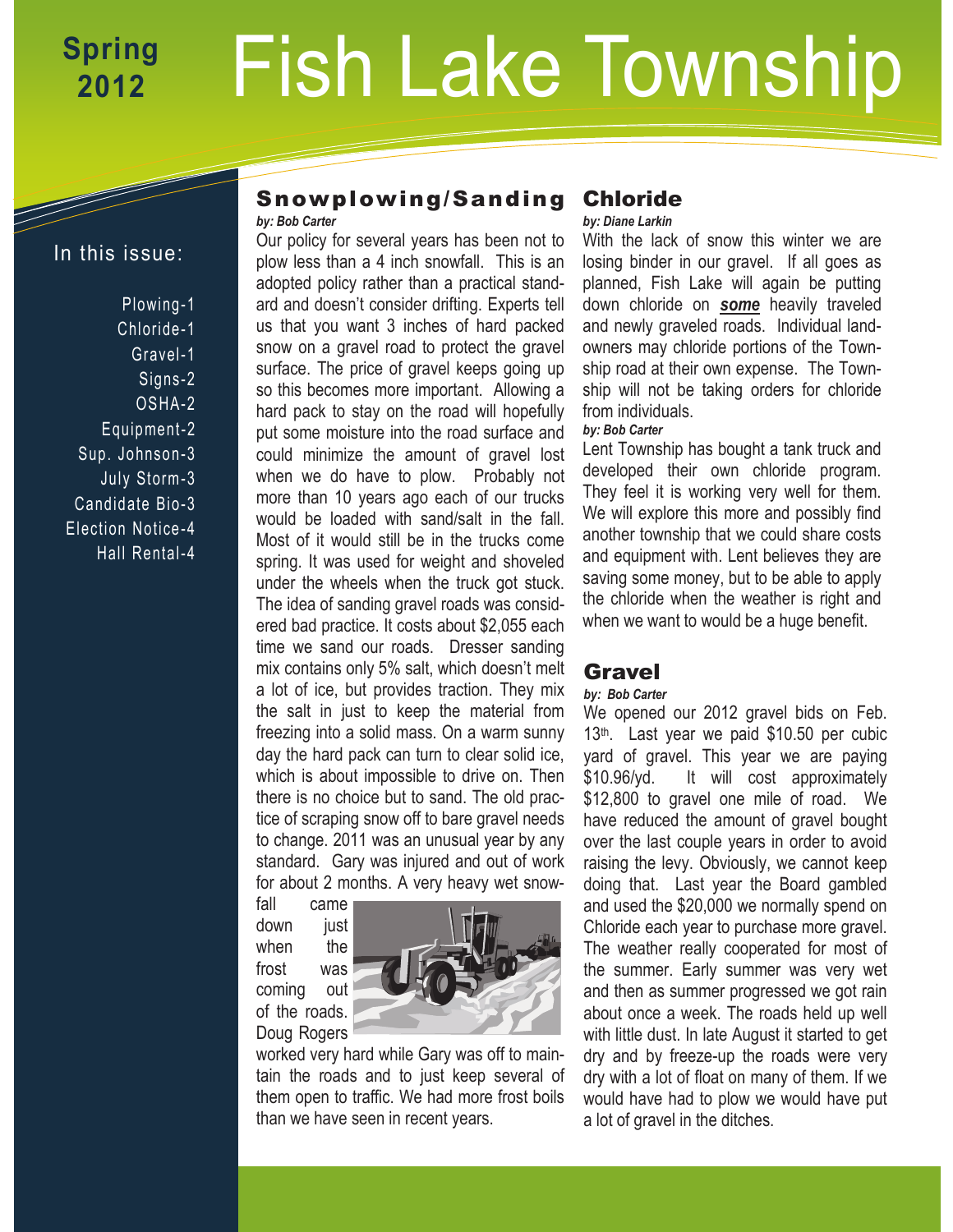# Fish Lake Township **Spring 2012**

## In this issue:

- Plowing-1 Chloride-1 Gravel-1 Signs-2 OSHA-2 Equipment-2 Sup. Johnson-3 July Storm-3 Candidate Bio-3
- Election Notice -4
- Hall Rental-4

### Snowplowing/Sanding *by: Bob Carter*

Our policy for several years has been not to plow less than a 4 inch snowfall. This is an adopted policy rather than a practical standard and doesn't consider drifting. Experts tell us that you want 3 inches of hard packed snow on a gravel road to protect the gravel surface. The price of gravel keeps going up so this becomes more important. Allowing a hard pack to stay on the road will hopefully put some moisture into the road surface and could minimize the amount of gravel lost when we do have to plow. Probably not more than 10 years ago each of our trucks would be loaded with sand/salt in the fall. Most of it would still be in the trucks come spring. It was used for weight and shoveled under the wheels when the truck got stuck. The idea of sanding gravel roads was considered bad practice. It costs about \$2,055 each time we sand our roads. Dresser sanding mix contains only 5% salt, which doesn't melt a lot of ice, but provides traction. They mix the salt in just to keep the material from freezing into a solid mass. On a warm sunny day the hard pack can turn to clear solid ice, which is about impossible to drive on. Then there is no choice but to sand. The old practice of scraping snow off to bare gravel needs to change. 2011 was an unusual year by any standard. Gary was injured and out of work for about 2 months. A very heavy wet snow-

fall came down iust when the frost was coming out of the roads. Doug Rogers



worked very hard while Gary was off to maintain the roads and to just keep several of them open to traffic. We had more frost boils than we have seen in recent years.

## Chloride

*by: Diane Larkin*

With the lack of snow this winter we are losing binder in our gravel. If all goes as planned, Fish Lake will again be putting down chloride on *some* heavily traveled and newly graveled roads. Individual landowners may chloride portions of the Township road at their own expense. The Township will not be taking orders for chloride from individuals.

#### *by: Bob Carter*

Lent Township has bought a tank truck and developed their own chloride program. They feel it is working very well for them. We will explore this more and possibly find another township that we could share costs and equipment with. Lent believes they are saving some money, but to be able to apply the chloride when the weather is right and when we want to would be a huge benefit.

## Gravel

#### *by: Bob Carter*

We opened our 2012 gravel bids on Feb. 13th. Last year we paid \$10.50 per cubic yard of gravel. This year we are paying \$10.96/yd. It will cost approximately \$12,800 to gravel one mile of road. We have reduced the amount of gravel bought over the last couple years in order to avoid raising the levy. Obviously, we cannot keep doing that. Last year the Board gambled and used the \$20,000 we normally spend on Chloride each year to purchase more gravel. The weather really cooperated for most of the summer. Early summer was very wet and then as summer progressed we got rain about once a week. The roads held up well with little dust. In late August it started to get dry and by freeze-up the roads were very dry with a lot of float on many of them. If we would have had to plow we would have put a lot of gravel in the ditches.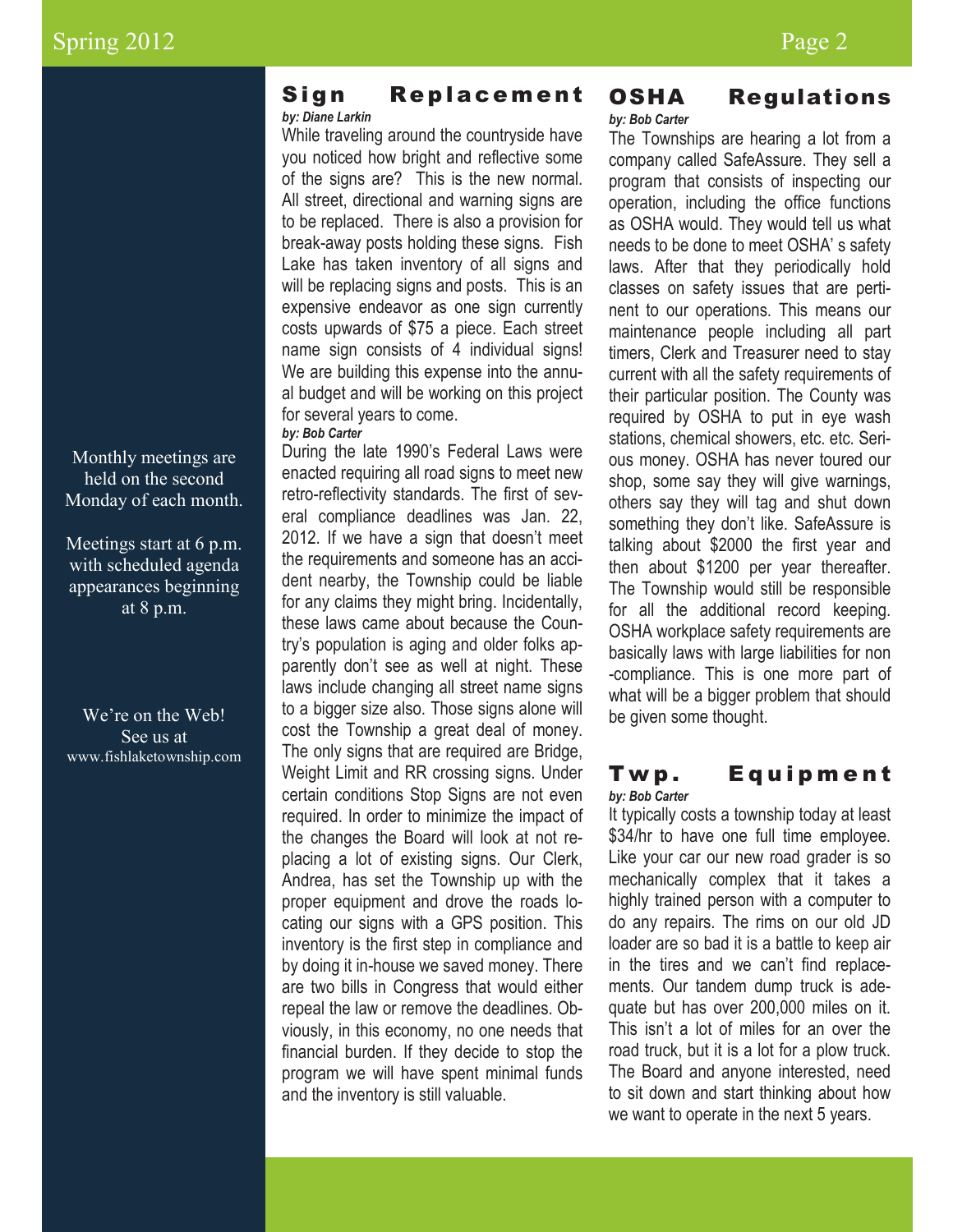Monthly meetings are held on the second Monday of each month.

Meetings start at 6 p.m. with scheduled agenda appearances beginning at 8 p.m.

We're on the Web! See us at www.fishlaketownship.com

### Sign Replacement *by: Diane Larkin*

While traveling around the countryside have you noticed how bright and reflective some of the signs are? This is the new normal. All street, directional and warning signs are to be replaced. There is also a provision for break-away posts holding these signs. Fish Lake has taken inventory of all signs and will be replacing signs and posts. This is an expensive endeavor as one sign currently costs upwards of \$75 a piece. Each street name sign consists of 4 individual signs! We are building this expense into the annual budget and will be working on this project for several years to come.

*by: Bob Carter*

During the late 1990's Federal Laws were enacted requiring all road signs to meet new retro-reflectivity standards. The first of several compliance deadlines was Jan. 22, 2012. If we have a sign that doesn't meet the requirements and someone has an accident nearby, the Township could be liable for any claims they might bring. Incidentally, these laws came about because the Country's population is aging and older folks apparently don't see as well at night. These laws include changing all street name signs to a bigger size also. Those signs alone will cost the Township a great deal of money. The only signs that are required are Bridge, Weight Limit and RR crossing signs. Under certain conditions Stop Signs are not even required. In order to minimize the impact of the changes the Board will look at not replacing a lot of existing signs. Our Clerk, Andrea, has set the Township up with the proper equipment and drove the roads locating our signs with a GPS position. This inventory is the first step in compliance and by doing it in-house we saved money. There are two bills in Congress that would either repeal the law or remove the deadlines. Obviously, in this economy, no one needs that financial burden. If they decide to stop the program we will have spent minimal funds and the inventory is still valuable.

#### OSHA Regulations *by: Bob Carter*

The Townships are hearing a lot from a company called SafeAssure. They sell a program that consists of inspecting our operation, including the office functions as OSHA would. They would tell us what needs to be done to meet OSHA' s safety laws. After that they periodically hold classes on safety issues that are pertinent to our operations. This means our maintenance people including all part timers, Clerk and Treasurer need to stay current with all the safety requirements of their particular position. The County was required by OSHA to put in eye wash stations, chemical showers, etc. etc. Serious money. OSHA has never toured our shop, some say they will give warnings, others say they will tag and shut down something they don't like. SafeAssure is talking about \$2000 the first year and then about \$1200 per year thereafter. The Township would still be responsible for all the additional record keeping. OSHA workplace safety requirements are basically laws with large liabilities for non -compliance. This is one more part of what will be a bigger problem that should be given some thought.

#### Twp. Equipment *by: Bob Carter*

It typically costs a township today at least \$34/hr to have one full time employee. Like your car our new road grader is so mechanically complex that it takes a highly trained person with a computer to do any repairs. The rims on our old JD loader are so bad it is a battle to keep air in the tires and we can't find replacements. Our tandem dump truck is adequate but has over 200,000 miles on it. This isn't a lot of miles for an over the road truck, but it is a lot for a plow truck. The Board and anyone interested, need to sit down and start thinking about how we want to operate in the next 5 years.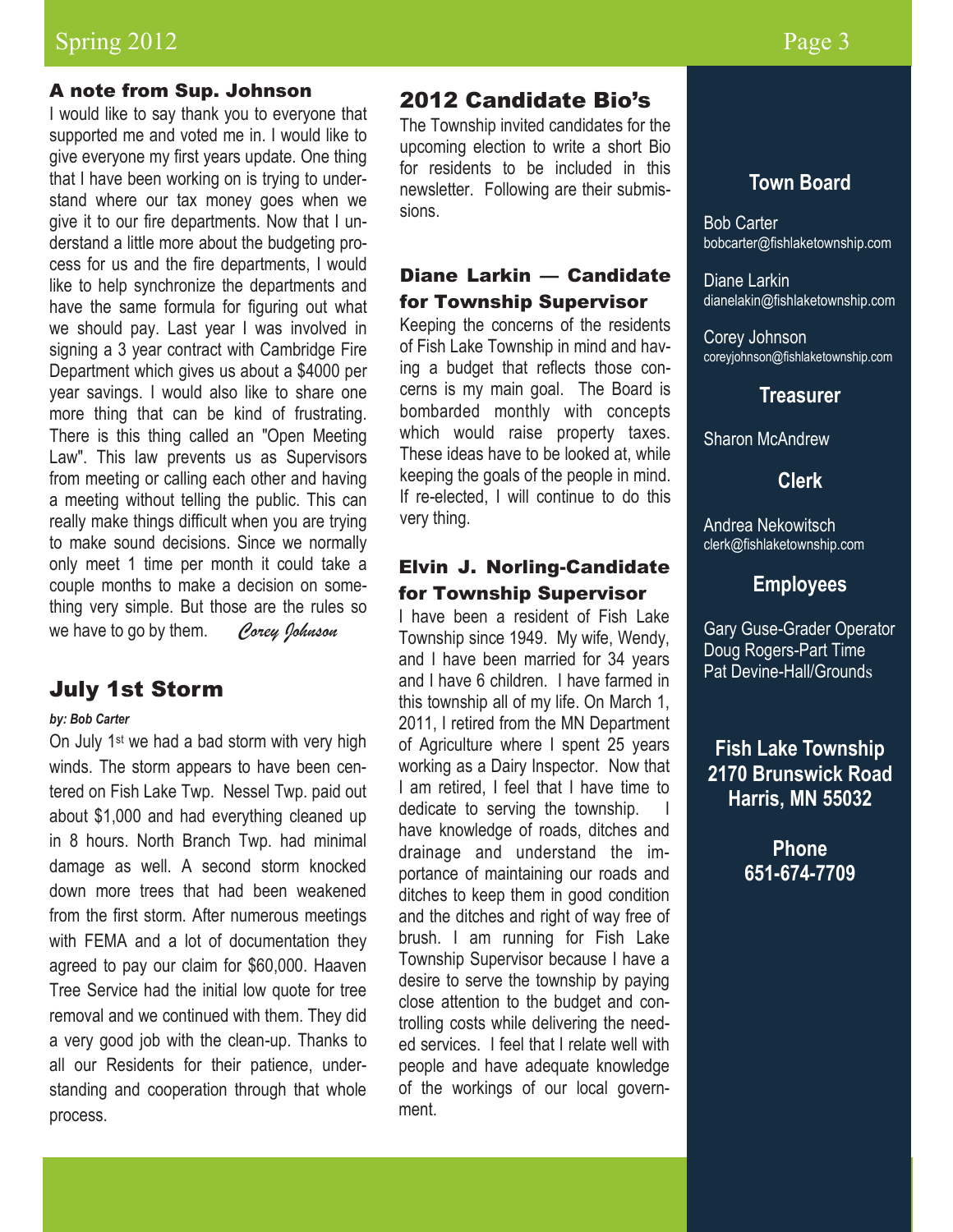## Spring 2012 Page 3

#### A note from Sup. Johnson

I would like to say thank you to everyone that supported me and voted me in. I would like to give everyone my first years update. One thing that I have been working on is trying to understand where our tax money goes when we give it to our fire departments. Now that I understand a little more about the budgeting process for us and the fire departments, I would like to help synchronize the departments and have the same formula for figuring out what we should pay. Last year I was involved in signing a 3 year contract with Cambridge Fire Department which gives us about a \$4000 per year savings. I would also like to share one more thing that can be kind of frustrating. There is this thing called an "Open Meeting Law". This law prevents us as Supervisors from meeting or calling each other and having a meeting without telling the public. This can really make things difficult when you are trying to make sound decisions. Since we normally only meet 1 time per month it could take a couple months to make a decision on something very simple. But those are the rules so we have to go by them. *Corey Johnson*

## July 1st Storm

#### *by: Bob Carter*

On July 1st we had a bad storm with very high winds. The storm appears to have been centered on Fish Lake Twp. Nessel Twp. paid out about \$1,000 and had everything cleaned up in 8 hours. North Branch Twp. had minimal damage as well. A second storm knocked down more trees that had been weakened from the first storm. After numerous meetings with FEMA and a lot of documentation they agreed to pay our claim for \$60,000. Haaven Tree Service had the initial low quote for tree removal and we continued with them. They did a very good job with the clean-up. Thanks to all our Residents for their patience, understanding and cooperation through that whole process.

## 2012 Candidate Bio's

The Township invited candidates for the upcoming election to write a short Bio for residents to be included in this newsletter. Following are their submissions.

## Diane Larkin — Candidate for Township Supervisor

Keeping the concerns of the residents of Fish Lake Township in mind and having a budget that reflects those concerns is my main goal. The Board is bombarded monthly with concepts which would raise property taxes. These ideas have to be looked at, while keeping the goals of the people in mind. If re-elected, I will continue to do this very thing.

### Elvin J. Norling-Candidate for Township Supervisor

I have been a resident of Fish Lake Township since 1949. My wife, Wendy, and I have been married for 34 years and I have 6 children. I have farmed in this township all of my life. On March 1, 2011, I retired from the MN Department of Agriculture where I spent 25 years working as a Dairy Inspector. Now that I am retired, I feel that I have time to dedicate to serving the township. have knowledge of roads, ditches and drainage and understand the importance of maintaining our roads and ditches to keep them in good condition and the ditches and right of way free of brush. I am running for Fish Lake Township Supervisor because I have a desire to serve the township by paying close attention to the budget and controlling costs while delivering the needed services. I feel that I relate well with people and have adequate knowledge of the workings of our local government.

## **Town Board**

Bob Carter bobcarter@fishlaketownship.com

Diane Larkin dianelakin@fishlaketownship.com

Corey Johnson coreyjohnson@fishlaketownship.com

### **Treasurer**

Sharon McAndrew

**Clerk**

Andrea Nekowitsch clerk@fishlaketownship.com

#### **Employees**

Gary Guse-Grader Operator Doug Rogers-Part Time Pat Devine-Hall/Grounds

**Fish Lake Township 2170 Brunswick Road Harris, MN 55032**

> **Phone 651-674-7709**